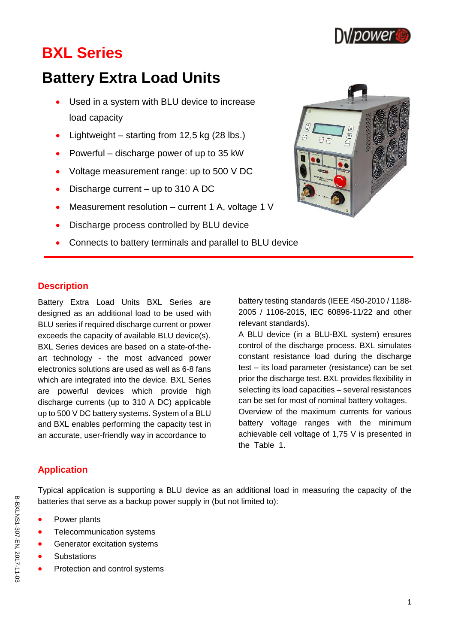

# **BXL Series**

# **Battery Extra Load Units**

- Used in a system with BLU device to increase load capacity
- Lightweight starting from  $12,5$  kg (28 lbs.)
- Powerful discharge power of up to 35 kW
- Voltage measurement range: up to 500 V DC
- Discharge current up to 310 A DC
- Measurement resolution current 1 A, voltage 1 V
- Discharge process controlled by BLU device
- Connects to battery terminals and parallel to BLU device



#### **Description**

Battery Extra Load Units BXL Series are designed as an additional load to be used with BLU series if required discharge current or power exceeds the capacity of available BLU device(s). BXL Series devices are based on a state-of-theart technology - the most advanced power electronics solutions are used as well as 6-8 fans which are integrated into the device. BXL Series are powerful devices which provide high discharge currents (up to 310 A DC) applicable up to 500 V DC battery systems. System of a BLU and BXL enables performing the capacity test in an accurate, user-friendly way in accordance to

battery testing standards (IEEE 450-2010 / 1188- 2005 / 1106-2015, IEC 60896-11/22 and other relevant standards).

A BLU device (in a BLU-BXL system) ensures control of the discharge process. BXL simulates constant resistance load during the discharge test – its load parameter (resistance) can be set prior the discharge test. BXL provides flexibility in selecting its load capacities – several resistances can be set for most of nominal battery voltages. Overview of the maximum currents for various

battery voltage ranges with the minimum achievable cell voltage of 1,75 V is presented in the Table 1.

### **Application**

Typical application is supporting a BLU device as an additional load in measuring the capacity of the batteries that serve as a backup power supply in (but not limited to):

- Power plants
- Telecommunication systems
- Generator excitation systems
- **Substations**
- Protection and control systems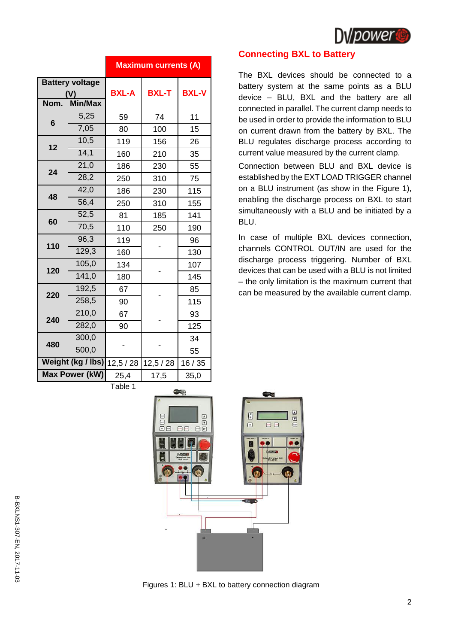

|                                                  |       | <b>Maximum currents (A)</b> |              |              |
|--------------------------------------------------|-------|-----------------------------|--------------|--------------|
| <b>Battery voltage</b><br>Nom.<br><b>Min/Max</b> |       | <b>BXL-A</b>                | <b>BXL-T</b> | <b>BXL-V</b> |
| $6\phantom{1}6$                                  | 5,25  | 59                          | 74           | 11           |
|                                                  | 7,05  | 80                          | 100          | 15           |
| 12                                               | 10,5  | 119                         | 156          | 26           |
|                                                  | 14,1  | 160                         | 210          | 35           |
| 24                                               | 21,0  | 186                         | 230          | 55           |
|                                                  | 28,2  | 250                         | 310          | 75           |
| 48                                               | 42,0  | 186                         | 230          | 115          |
|                                                  | 56,4  | 250                         | 310          | 155          |
| 60                                               | 52,5  | 81                          | 185          | 141          |
|                                                  | 70,5  | 110                         | 250          | 190          |
|                                                  | 96,3  | 119                         |              | 96           |
| 110                                              | 129,3 | 160                         |              | 130          |
| 120                                              | 105,0 | 134                         |              | 107          |
|                                                  | 141,0 | 180                         |              | 145          |
| 220                                              | 192,5 | 67                          |              | 85           |
|                                                  | 258,5 | 90                          |              | 115          |
|                                                  | 210,0 | 67                          |              | 93           |
| 240                                              | 282,0 | 90                          |              | 125          |
|                                                  | 300,0 |                             |              | 34           |
| 480                                              | 500,0 |                             |              | 55           |
| Weight (kg / lbs)                                |       | 12,5/28                     | 12,5/28      | 16/35        |
| <b>Max Power (kW)</b>                            |       | 25,4                        | 17,5         | 35,0         |
| Table 1                                          |       |                             |              |              |

#### **Connecting BXL to Battery**

The BXL devices should be connected to a battery system at the same points as a BLU device – BLU, BXL and the battery are all connected in parallel. The current clamp needs to be used in order to provide the information to BLU on current drawn from the battery by BXL. The BLU regulates discharge process according to current value measured by the current clamp.

Connection between BLU and BXL device is established by the EXT LOAD TRIGGER channel on a BLU instrument (as show in the Figure 1), enabling the discharge process on BXL to start simultaneously with a BLU and be initiated by a BLU.

In case of multiple BXL devices connection, channels CONTROL OUT/IN are used for the discharge process triggering. Number of BXL devices that can be used with a BLU is not limited – the only limitation is the maximum current that can be measured by the available current clamp.



Figures 1: BLU + BXL to battery connection diagram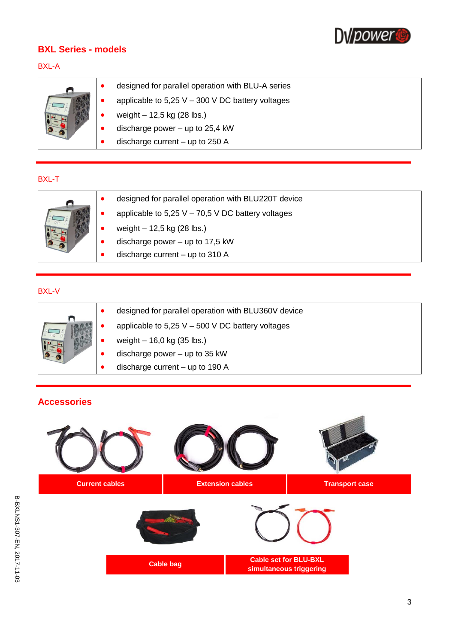

## **BXL Series - models**

### BXL-A

|  | designed for parallel operation with BLU-A series    |
|--|------------------------------------------------------|
|  | applicable to $5,25$ V $-$ 300 V DC battery voltages |
|  | weight $-12,5$ kg (28 lbs.)                          |
|  | discharge power $-$ up to 25,4 kW                    |
|  | discharge current $-$ up to 250 A                    |

#### BXL-T

|  | designed for parallel operation with BLU220T device |
|--|-----------------------------------------------------|
|  | applicable to $5,25$ V – 70,5 V DC battery voltages |
|  | weight $-12,5$ kg (28 lbs.)                         |
|  | discharge power $-$ up to 17,5 kW                   |
|  | discharge current $-$ up to 310 A                   |

# BXL-V

|  | designed for parallel operation with BLU360V device |
|--|-----------------------------------------------------|
|  | applicable to $5,25$ V $-500$ V DC battery voltages |
|  | weight $-16,0$ kg (35 lbs.)                         |
|  | discharge power $-$ up to 35 kW                     |
|  | discharge current $-$ up to 190 A                   |

# **Accessories**

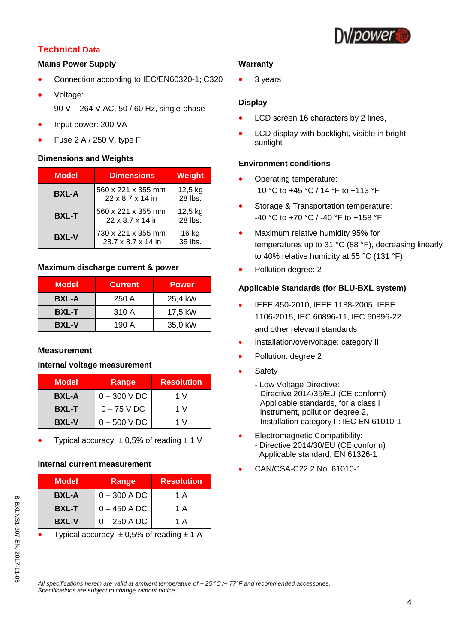

# **Technical Data**

#### **Mains Power Supply**

- Connection according to IEC/EN60320-1; C320
- Voltage:
	- 90 V 264 V AC, 50 / 60 Hz, single-phase
- Input power: 200 VA
- Fuse 2 A / 250 V, type F

#### **Dimensions and Weights**

| <b>Model</b> | <b>Dimensions</b>                        | Weight             |
|--------------|------------------------------------------|--------------------|
| <b>BXL-A</b> | 560 x 221 x 355 mm<br>22 x 8.7 x 14 in   | 12,5 kg<br>28 lbs. |
| <b>BXL-T</b> | 560 x 221 x 355 mm<br>22 x 8.7 x 14 in   | 12,5 kg<br>28 lbs. |
| <b>BXL-V</b> | 730 x 221 x 355 mm<br>28.7 x 8.7 x 14 in | 16 kg<br>35 lbs.   |

#### **Maximum discharge current & power**

| <b>Model</b> | <b>Current</b> | <b>Power</b> |
|--------------|----------------|--------------|
| <b>BXL-A</b> | 250A           | 25,4 kW      |
| <b>BXL-T</b> | 310 A          | 17,5 kW      |
| <b>BXL-V</b> | 190 A          | 35,0 kW      |

#### **Measurement**

#### **Internal voltage measurement**

| <b>Model</b> | Range         | <b>Resolution</b> |
|--------------|---------------|-------------------|
| <b>BXL-A</b> | $0 - 300 VDC$ | 1 V               |
| <b>BXL-T</b> | $0 - 75$ V DC | 1 V               |
| <b>BXL-V</b> | $0 - 500 VDC$ | 1 V               |

Typical accuracy:  $\pm 0.5\%$  of reading  $\pm 1$  V

#### **Internal current measurement**

| <b>Model</b> | Range          | <b>Resolution</b> |
|--------------|----------------|-------------------|
| <b>BXL-A</b> | $0 - 300$ A DC | 1 A               |
| <b>BXL-T</b> | $0 - 450$ A DC | 1 A               |
| <b>BXL-V</b> | $0 - 250$ A DC | 1 A               |

Typical accuracy:  $\pm$  0,5% of reading  $\pm$  1 A

#### **Warranty**

3 years

#### **Display**

- LCD screen 16 characters by 2 lines,
- LCD display with backlight, visible in bright sunlight

#### **Environment conditions**

- Operating temperature: -10 °C to +45 °C / 14 °F to +113 °F
- Storage & Transportation temperature: -40 °C to +70 °C / -40 °F to +158 °F
- Maximum relative humidity 95% for temperatures up to 31 °C (88 °F), decreasing linearly to 40% relative humidity at 55 °C (131 °F)
- Pollution degree: 2

#### **Applicable Standards (for BLU-BXL system)**

- **IEEE 450-2010, IEEE 1188-2005, IEEE** 1106-2015, IEC 60896-11, IEC 60896-22 and other relevant standards
- Installation/overvoltage: category II
- Pollution: degree 2
- **Safety** 
	- Low Voltage Directive: Directive 2014/35/EU (CE conform) Applicable standards, for a class I instrument, pollution degree 2, Installation category II: IEC EN 61010-1
- Electromagnetic Compatibility: - Directive 2014/30/EU (CE conform) \_Applicable standard: EN 61326-1
- CAN/CSA-C22.2 No. 61010-1

*All specifications herein are valid at ambient temperature of + 25 °C /+ 77°F and recommended accessories. Specifications are subject to change without notice*